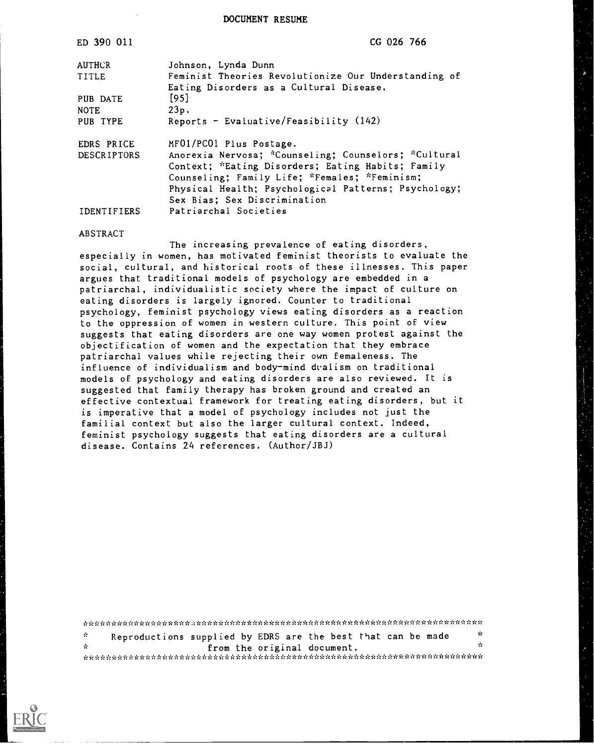DOCUMENT RESUME

| ED 390 011                       | CG 026 766                                                                                                                                                                                                                                                                                                                |
|----------------------------------|---------------------------------------------------------------------------------------------------------------------------------------------------------------------------------------------------------------------------------------------------------------------------------------------------------------------------|
| <b>AUTHCR</b>                    | Johnson, Lynda Dunn                                                                                                                                                                                                                                                                                                       |
| TITLE                            | Feminist Theories Revolutionize Our Understanding of                                                                                                                                                                                                                                                                      |
|                                  | Eating Disorders as a Cultural Disease.                                                                                                                                                                                                                                                                                   |
| PUB DATE                         | $[95]$                                                                                                                                                                                                                                                                                                                    |
| <b>NOTE</b>                      | 23p.                                                                                                                                                                                                                                                                                                                      |
| PUB TYPE                         |                                                                                                                                                                                                                                                                                                                           |
|                                  |                                                                                                                                                                                                                                                                                                                           |
|                                  |                                                                                                                                                                                                                                                                                                                           |
|                                  |                                                                                                                                                                                                                                                                                                                           |
|                                  |                                                                                                                                                                                                                                                                                                                           |
|                                  |                                                                                                                                                                                                                                                                                                                           |
|                                  |                                                                                                                                                                                                                                                                                                                           |
|                                  |                                                                                                                                                                                                                                                                                                                           |
| IDENTIFIERS                      | Patriarchal Societies                                                                                                                                                                                                                                                                                                     |
| EDRS PRICE<br><b>DESCRIPTORS</b> | Reports - Evaluative/Feasibility $(142)$<br>MF01/PC01 Plus Postage.<br>Anorexia Nervosa; *Counseling; Counselors; *Cultural<br>Context; *Eating Disorders; Eating Habits; Family<br>Counseling; Family Life; *Females; *Feminism;<br>Physical Health; Psychological Patterns; Psychology;<br>Sex Bias; Sex Discrimination |

#### ABSTRACT

The increasing prevalence of eating disorders, especially in women, has motivated feminist theorists to evaluate the social, cultural, and historical roots of these illnesses. This paper argues that traditional models of psychology are embedded in a patriarchal, individualistic society where the impact of culture on eating disorders is largely ignored. Counter to traditional psychology, feminist psychology views eating disorders as a reaction to the oppression of women in western culture. This point of view suggests that eating disorders are one way women protest against the objectification of women and the expectation that they embrace patriarchal values while rejecting their own femaleness. The influence of individualism and body-mind dvalism on traditional models of psychology and eating disorders are also reviewed. It is suggested that family therapy has broken ground and created an effective contextual framework for treating eating disorders, but it is imperative that a model of psychology includes not just the familial context but also the larger cultural context. Indeed, feminist psychology suggests that eating disorders are a cultural disease. Contains 24 references. (Author/JBJ)

Reproductions supplied by EDRS are the best that can be made  $\frac{1}{x}$  $\Lambda$  $\mathcal{Q}$ from the original document.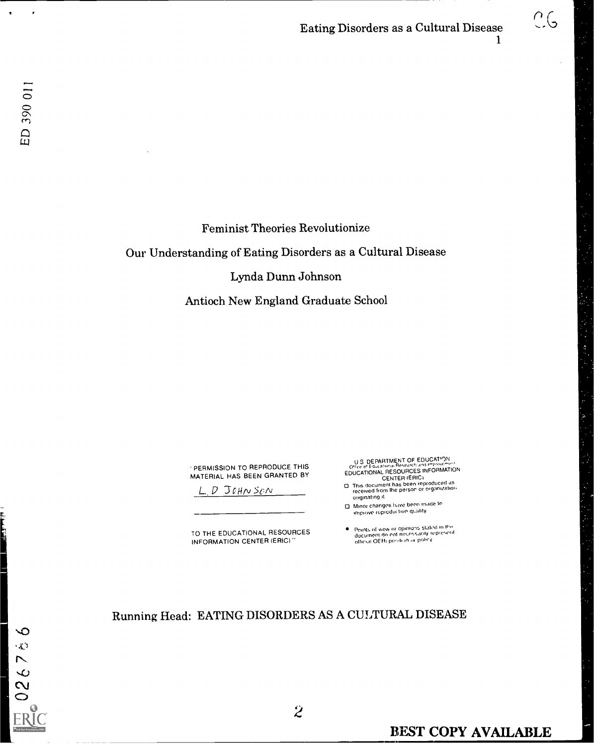# Eating Disorders as a Cultural Disease  $\bigcirc$   $\bigcirc$

 $\infty$  $\zeta_{\rm A}$  $\overline{\phantom{0}}$ 

 $\frac{8}{2}$  $\circ$ 

## Feminist Theories Revolutionize

Our Understanding of Eating Disorders as a Cultural Disease

#### Lynda Dunn Johnson

Antioch New England Graduate School

PERMISSION TO REPRODUCE THIS MATERIAL HAS BEEN GRANTED BY

 $D$  JOHNSON

TO THE EDUCATIONAL RESOURCES INFORMATION CENTER (ERIC)

U S DEPARTMENT OF EDUCATION<br>Office of Education Resources in EORMATION<br>EDUCATIONAL RESOURCES INFORMATION<br>CENTER (ERICI

- O Thts document has been reproduced as received horn Ihe persor or organizatior . originating a
- O Minor changes have been made to iminor criting

 $\bullet$ Points of view or opinions stated in III»<br>document do not neuessarily represent<br>official OEAi position or policy

Running Head: EATING DISORDERS AS A CULTURAL DISEASE

 $\hat{z}$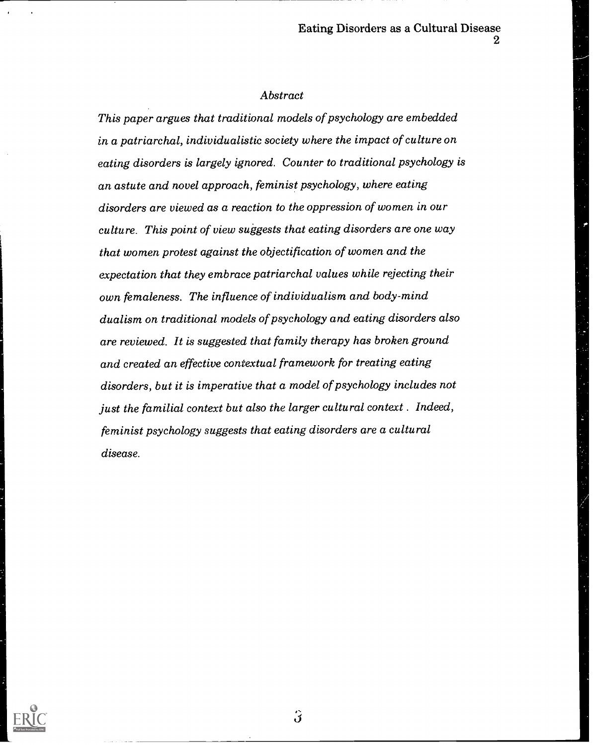#### Abstract

This paper argues that traditional models of psychology are embedded in a patriarchal, individualistic society where the impact of culture on eating disorders is largely ignored. Counter to traditional psychology is an astute and novel approach, feminist psychology, where eating disorders are viewed as a reaction to the oppression of women in our culture. This point of view suggests that eating disorders are one way that women protest against the objectification of women and the expectation that they embrace patriarchal values while rejecting their own femaleness. The influence of individualism and body-mind dualism on traditional models of psychology and eating disorders also are reviewed. It is suggested that family therapy has broken ground and created an effective contextual framework for treating eating disorders, but it is imperative that a model of psychology includes not just the familial context but also the larger cultural context . Indeed, feminist psychology suggests that eating disorders are a cultural disease.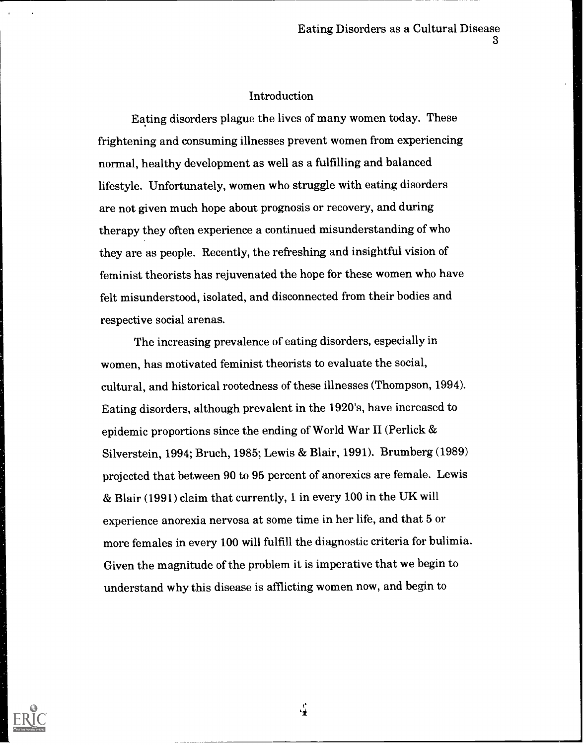### Introduction

Eating disorders plague the lives of many women today. These frightening and consuming illnesses prevent women from experiencing normal, healthy development as well as a fulfilling and balanced lifestyle. Unfortunately, women who struggle with eating disorders are not given much hope about prognosis or recovery, and during therapy they often experience a continued misunderstanding of who they are as people. Recently, the refreshing and insightful vision of feminist theorists has rejuvenated the hope for these women who have felt misunderstood, isolated, and disconnected from their bodies and respective social arenas.

The increasing prevalence of eating disorders, especially in women, has motivated feminist theorists to evaluate the social, cultural, and historical rootedness of these illnesses (Thompson, 1994). Eating disorders, although prevalent in the 1920's, have increased to epidemic proportions since the ending of World War II (Perlick & Silverstein, 1994; Bruch, 1985; Lewis & Blair, 1991). Brumberg (1989) projected that between 90 to 95 percent of anorexics are female. Lewis & Blair (1991) claim that currently, 1 in every 100 in the UK will experience anorexia nervosa at some time in her life, and that 5 or more females in every 100 will fulfill the diagnostic criteria for bulimia. Given the magnitude of the problem it is imperative that we begin to understand why this disease is afflicting women now, and begin to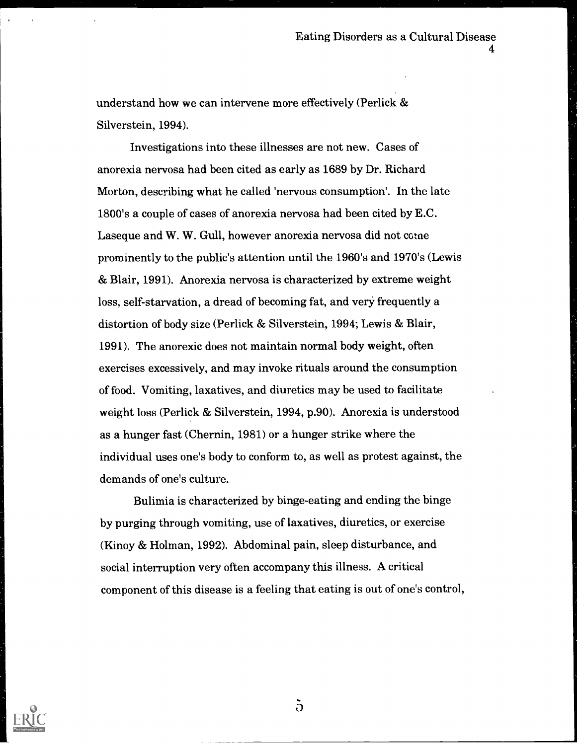understand how we can intervene more effectively (Perlick  $\&$ Silverstein, 1994).

Investigations into these illnesses are not new. Cases of anorexia nervosa had been cited as early as 1689 by Dr. Richard Morton, describing what he called 'nervous consumption'. In the late 1800's a couple of cases of anorexia nervosa had been cited by E.C. Laseque and W. W. Gull, however anorexia nervosa did not come prominently to the public's attention until the 1960's and 1970's (Lewis & Blair, 1991). Anorexia nervosa is characterized by extreme weight loss, self-starvation, a dread of becoming fat, and very frequently a distortion of body size (Perlick & Silverstein, 1994; Lewis & Blair, 1991). The anorexic does not maintain normal body weight, often exercises excessively, and may invoke rituals around the consumption of food. Vomiting, laxatives, and diuretics may be used to facilitate weight loss (Perlick & Silverstein, 1994, p.90). Anorexia is understood as a hunger fast (Chernin, 1981) or a hunger strike where the individual uses one's body to conform to, as well as protest against, the demands of one's culture.

Bulimia is characterized by binge-eating and ending the binge by purging through vomiting, use of laxatives, diuretics, or exercise (Kinoy & Holman, 1992). Abdominal pain, sleep disturbance, and social interruption very often accompany this illness. A critical component of this disease is a feeling that eating is out of one's control,



 $\ddot{\text{o}}$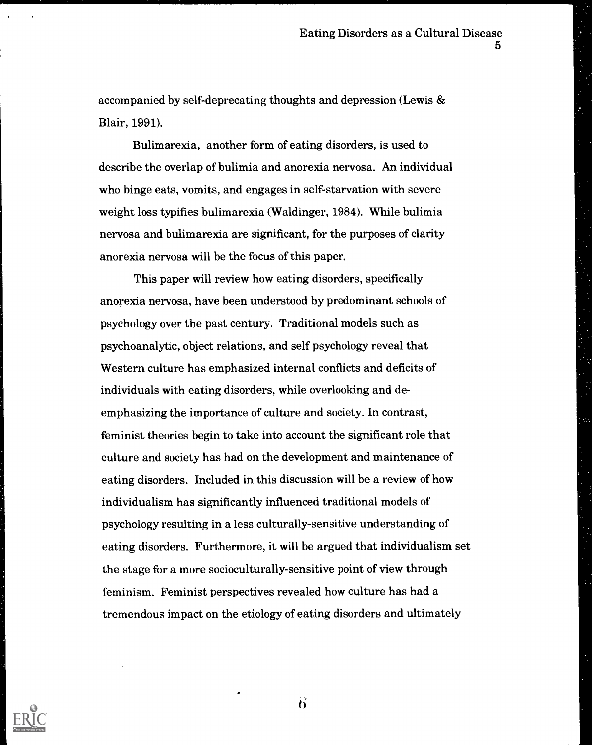accompanied by self-deprecating thoughts and depression (Lewis & Blair, 1991).

Bulimarexia, another form of eating disorders, is used to describe the overlap of bulimia and anorexia nervosa. An individual who binge eats, vomits, and engages in self-starvation with severe weight loss typifies bulimarexia (Waldinger, 1984). While bulimia nervosa and bulimarexia are significant, for the purposes of clarity anorexia nervosa will be the focus of this paper.

This paper will review how eating disorders, specifically anorexia nervosa, have been understood by predominant schools of psychology over the past century. Traditional models such as psychoanalytic, object relations, and self psychology reveal that Western culture has emphasized internal conflicts and deficits of individuals with eating disorders, while overlooking and deemphasizing the importance of culture and society. In contrast, feminist theories begin to take into account the significant role that culture and society has had on the development and maintenance of eating disorders. Included in this discussion will be a review of how individualism has significantly influenced traditional models of psychology resulting in a less culturally-sensitive understanding of eating disorders. Furthermore, it will be argued that individualism set the stage for a more socioculturally-sensitive point of view through feminism. Feminist perspectives revealed how culture has had a tremendous impact on the etiology of eating disorders and ultimately



 $\ddot{\mathbf{b}}$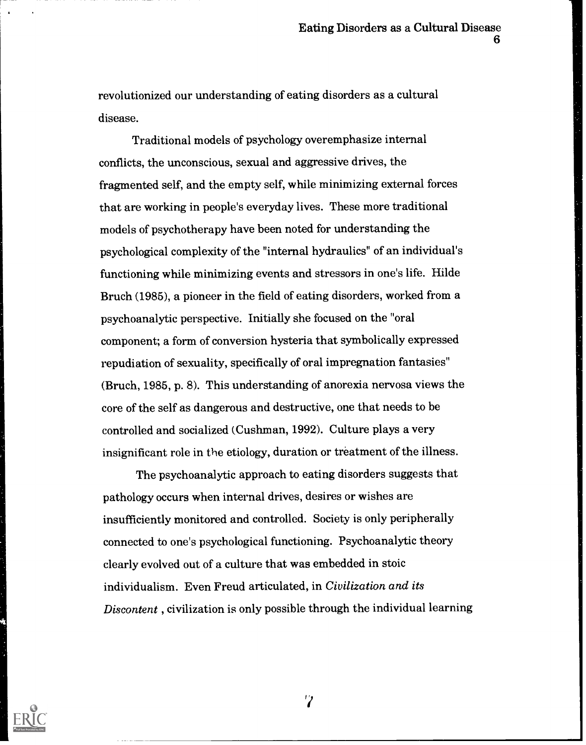revolutionized our understanding of eating disorders as a cultural disease.

Traditional models of psychology overemphasize internal conflicts, the unconscious, sexual and aggressive drives, the fragmented self, and the empty self, while minimizing external forces that are working in people's everyday lives. These more traditional models of psychotherapy have been noted for understanding the psychological complexity of the "internal hydraulics" of an individual's functioning while minimizing events and stressors in one's life. Hilde Bruch (1985), a pioneer in the field of eating disorders, worked from a psychoanalytic perspective. Initially she focused on the "oral component; a form of conversion hysteria that symbolically expressed repudiation of sexuality, specifically of oral impregnation fantasies" (Bruch, 1985, p. 8). This understanding of anorexia nervosa views the core of the self as dangerous and destructive, one that needs to be controlled and socialized (Cushman, 1992). Culture plays a very insignificant role in the etiology, duration or treatment of the illness.

The psychoanalytic approach to eating disorders suggests that pathology occurs when internal drives, desires or wishes are insufficiently monitored and controlled. Society is only peripherally connected to one's psychological functioning. Psychoanalytic theory clearly evolved out of a culture that was embedded in stoic individualism. Even Freud articulated, in Civilization and its Discontent , civilization is only possible through the individual learning

 $\mathbf{v}$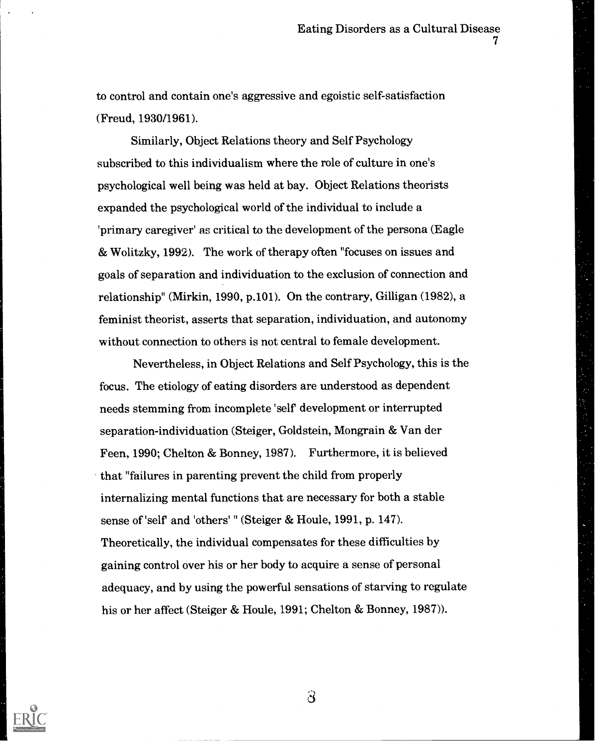to control and contain one's aggressive and egoistic self-satisfaction (Freud, 1930/1961).

Similarly, Object Relations theory and Self Psychology subscribed to this individualism where the role of culture in one's psychological well being was held at bay. Object Relations theorists expanded the psychological world of the individual to include a 'primary caregiver' as critical to the development of the persona (Eagle & Wolitzky, 1992). The work of therapy often "focuses on issues and goals of separation and individuation to the exclusion of connection and relationship" (Mirkin, 1990, p.101). On the contrary, Gilligan (1982), a feminist theorist, asserts that separation, individuation, and autonomy without connection to others is not central to female development.

Nevertheless, in Object Relations and Self Psychology, this is the focus. The etiology of eating disorders are understood as dependent needs stemming from incomplete 'self development or interrupted separation-individuation (Steiger, Goldstein, Mongrain & Van der Feen, 1990; Chelton & Bonney, 1987). Furthermore, it is believed that "failures in parenting prevent the child from properly internalizing mental functions that are necessary for both a stable sense of 'self and 'others' " (Steiger & Houle, 1991, p. 147). Theoretically, the individual compensates for these difficulties by gaining control over his or her body to acquire a sense of personal adequacy, and by using the powerful sensations of starving to regulate his or her affect (Steiger & Houle, 1991; Chelton & Bonney, 1987)).



 $\partial$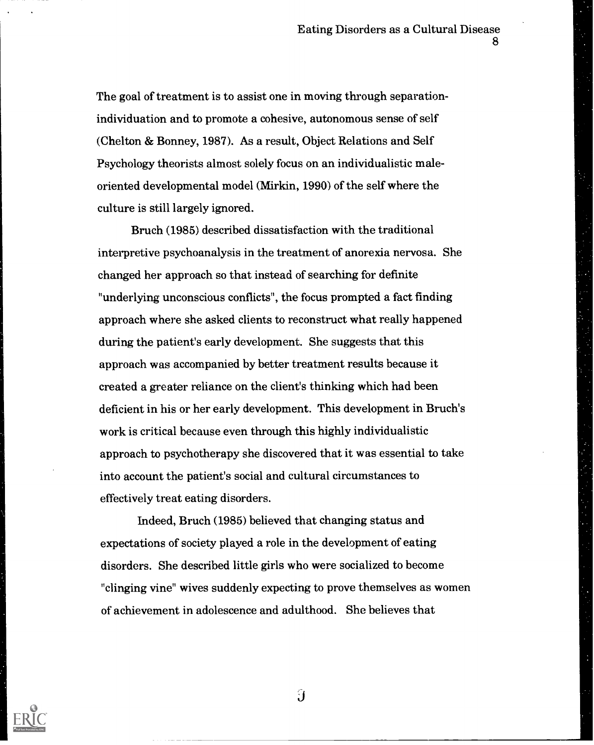The goal of treatment is to assist one in moving through separationindividuation and to promote a cohesive, autonomous sense of self (Chelton & Bonney, 1987). As a result, Object Relations and Self Psychology theorists almost solely focus on an individualistic maleoriented developmental model (Mirkin, 1990) of the self where the culture is still largely ignored.

Bruch (1985) described dissatisfaction with the traditional interpretive psychoanalysis in the treatment of anorexia nervosa. She changed her approach so that instead of searching for definite "underlying unconscious conflicts", the focus prompted a fact finding approach where she asked clients to reconstruct what really happened during the patient's early development. She suggests that this approach was accompanied by better treatment results because it created a greater reliance on the client's thinking which had been deficient in his or her early development. This development in Bruch's work is critical because even through this highly individualistic approach to psychotherapy she discovered that it was essential to take into account the patient's social and cultural circumstances to effectively treat eating disorders.

Indeed, Bruch (1985) believed that changing status and expectations of society played a role in the development of eating disorders. She described little girls who were socialized to become "clinging vine" wives suddenly expecting to prove themselves as women of achievement in adolescence and adulthood. She believes that

 $\hat{\mathbf{J}}$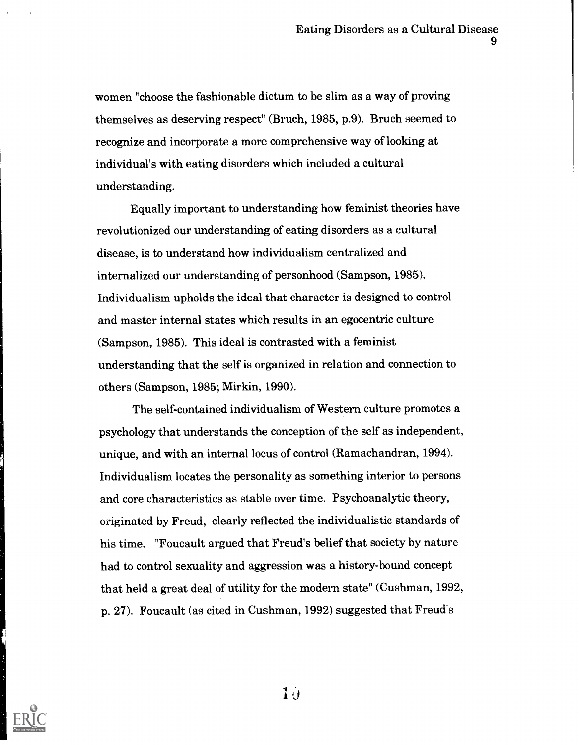women "choose the fashionable dictum to be slim as a way of proving themselves as deserving respect" (Bruch, 1985, p.9). Bruch seemed to recognize and incorporate a more comprehensive way of looking at individual's with eating disorders which included a cultural understanding.

Equally important to understanding how feminist theories have revolutionized our understanding of eating disorders as a cultural disease, is to understand how individualism centralized and internalized our understanding of personhood (Sampson, 1985). Individualism upholds the ideal that character is designed to control and master internal states which results in an egocentric culture (Sampson, 1985). This ideal is contrasted with a feminist understanding that the self is organized in relation and connection to others (Sampson, 1985; Mirkin, 1990).

The self-contained individualism of Western culture promotes a psychology that understands the conception of the self as independent, unique, and with an internal locus of control (Ramachandran, 1994). Individualism locates the personality as something interior to persons and core characteristics as stable over time. Psychoanalytic theory, originated by Freud, clearly reflected the individualistic standards of his time. "Foucault argued that Freud's belief that society by nature had to control sexuality and aggression was a history-bound concept that held a great deal of utility for the modern state" (Cushman, 1992, p. 27). Foucault (as cited in Cushman, 1992) suggested that Freud's

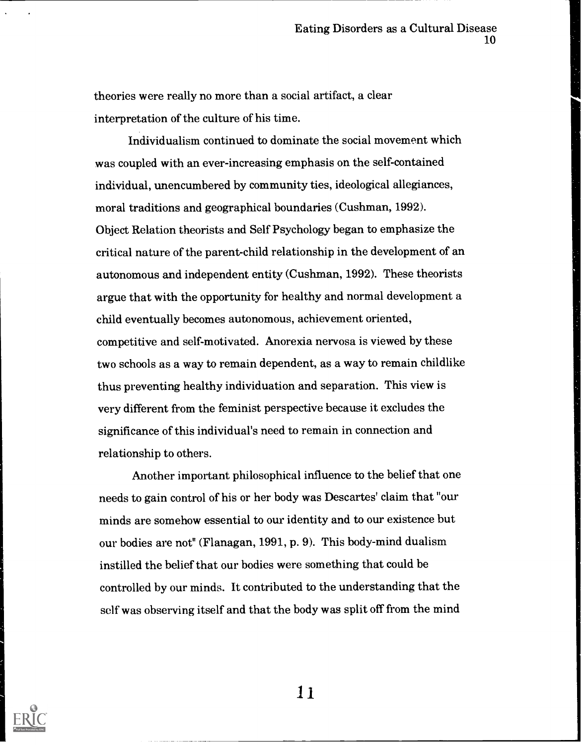theories were really no more than a social artifact, a clear interpretation of the culture of his time.

Individualism continued to dominate the social movement which was coupled with an ever-increasing emphasis on the self-contained individual, unencumbered by community ties, ideological allegiances, moral traditions and geographical boundaries (Cushman, 1992). Object Relation theorists and Self Psychology began to emphasize the critical nature of the parent-child relationship in the development of an autonomous and independent entity (Cushman, 1992). These theorists argue that with the opportunity for healthy and normal development a child eventually becomes autonomous, achievement oriented, competitive and self-motivated. Anorexia nervosa is viewed by these two schools as a way to remain dependent, as a way to remain childlike thus preventing healthy individuation and separation. This view is very different from the feminist perspective because it excludes the significance of this individual's need to remain in connection and relationship to others.

Another important philosophical influence to the belief that one needs to gain control of his or her body was Descartes' claim that "our minds are somehow essential to our identity and to our existence but our bodies are not" (Flanagan, 1991, p. 9). This body-mind dualism instilled the belief that our bodies were something that could be controlled by our minds. It contributed to the understanding that the self was observing itself and that the body was split off from the mind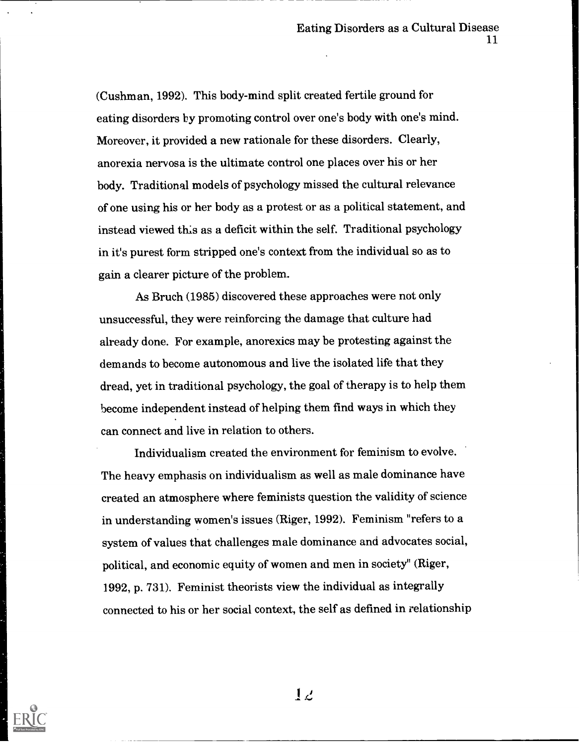(Cushman, 1992). This body-mind split created fertile ground for eating disorders by promoting control over one's body with one's mind. Moreover, it provided a new rationale for these disorders. Clearly, anorexia nervosa is the ultimate control one places over his or her body. Traditional models of psychology missed the cultural relevance of one using his or her body as a protest or as a political statement, and instead viewed this as a deficit within the self. Traditional psychology in it's purest form stripped one's context from the individual so as to gain a clearer picture of the problem.

As Bruch (1985) discovered these approaches were not only unsuccessful, they were reinforcing the damage that culture had already done. For example, anorexics may be protesting against the demands to become autonomous and live the isolated life that they dread, yet in traditional psychology, the goal of therapy is to help them become independent instead of helping them find ways in which they can connect and live in relation to others.

Individualism created the environment for feminism to evolve. The heavy emphasis on individualism as well as male dominance have created an atmosphere where feminists question the validity of science in understanding women's issues (Riger, 1992). Feminism "refers to a system of values that challenges male dominance and advocates social, political, and economic equity of women and men in society" (Riger, 1992, p. 731). Feminist theorists view the individual as integrally connected to his or her social context, the self as defined in relationship

 $1\angle$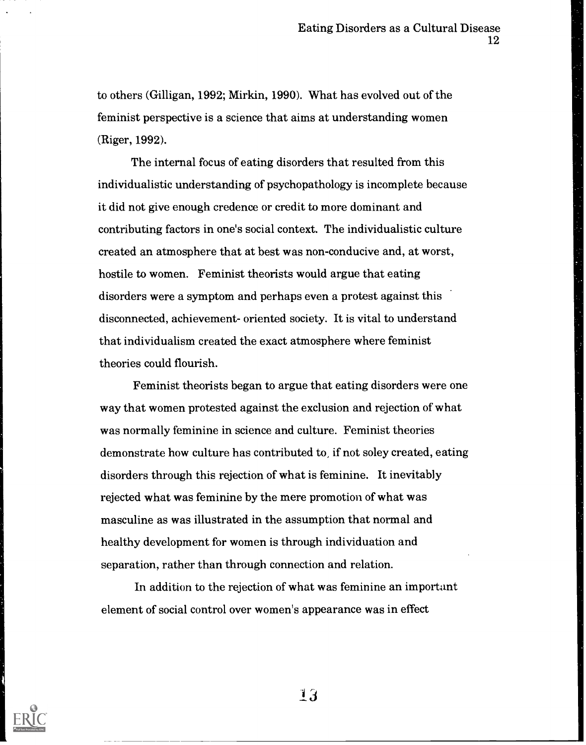to others (Gilligan, 1992; Mirkin, 1990). What has evolved out of the feminist perspective is a science that aims at understanding women (Riger, 1992).

The internal focus of eating disorders that resulted from this individualistic understanding of psychopathology is incomplete because it did not give enough credence or credit to more dominant and contributing factors in one's social context. The individualistic culture created an atmosphere that at best was non-conducive and, at worst, hostile to women. Feminist theorists would argue that eating disorders were a symptom and perhaps even a protest against this disconnected, achievement- oriented society. It is vital to understand that individualism created the exact atmosphere where feminist theories could flourish.

Feminist theorists began to argue that eating disorders were one way that women protested against the exclusion and rejection of what was normally feminine in science and culture. Feminist theories demonstrate how culture has contributed to, if not soley created, eating disorders through this rejection of what is feminine. It inevitably rejected what was feminine by the mere promotion of what was masculine as was illustrated in the assumption that normal and healthy development for women is through individuation and separation, rather than through connection and relation.

In addition to the rejection of what was feminine an important element of social control over women's appearance was in effect

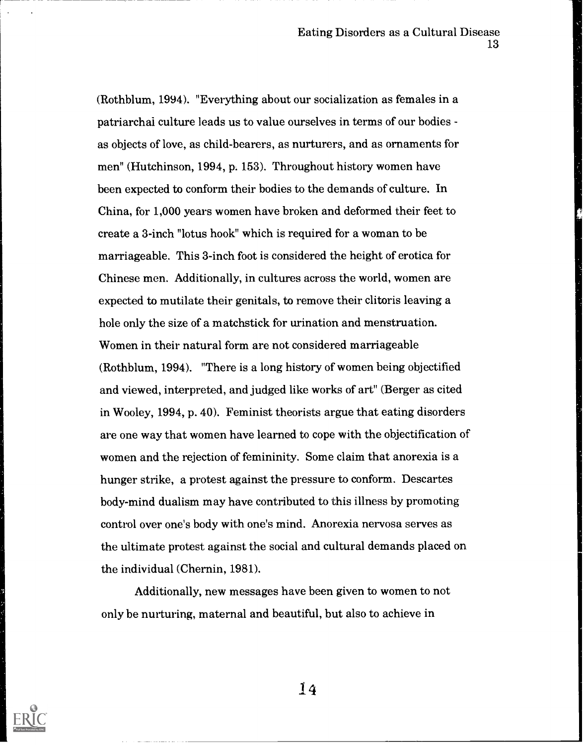(Rothblum, 1994). "Everything about our socialization as females in a patriarchai culture leads us to value ourselves in terms of our bodies as objects of love, as child-bearers, as nurturers, and as ornaments for men" (Hutchinson, 1994, p. 153). Throughout history women have been expected to conform their bodies to the demands of culture. In China, for 1,000 years women have broken and deformed their feet to create a 3-inch "lotus hook" which is required for a woman to be marriageable. This 3-inch foot is considered the height of erotica for Chinese men. Additionally, in cultures across the world, women are expected to mutilate their genitals, to remove their clitoris leaving a hole only the size of a matchstick for urination and menstruation. Women in their natural form are not considered marriageable (Rothblum, 1994). "There is a long history of women being objectified and viewed, interpreted, and judged like works of art" (Berger as cited in Wooley, 1994, p. 40). Feminist theorists argue that eating disorders are one way that women have learned to cope with the objectification of women and the rejection of femininity. Some claim that anorexia is a hunger strike, a protest against the pressure to conform. Descartes body-mind dualism may have contributed to this illness by promoting control over one's body with one's mind. Anorexia nervosa serves as the ultimate protest against the social and cultural demands placed on the individual (Chernin, 1981).

Additionally, new messages have been given to women to not only be nurturing, maternal and beautiful, but also to achieve in

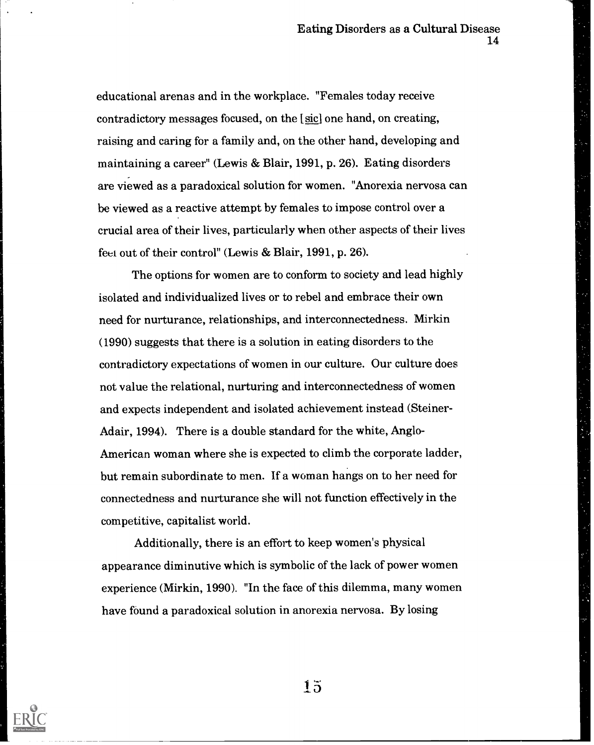educational arenas and in the workplace. "Females today receive contradictory messages focused, on the [sic] one hand, on creating, raising and caring for a family and, on the other hand, developing and maintaining a career" (Lewis & Blair, 1991, P. 26). Eating disorders are viewed as a paradoxical solution for women. "Anorexia nervosa can be viewed as a reactive attempt by females to impose control over a crucial area of their lives, particularly when other aspects of their lives feel out of their control" (Lewis & Blair, 1991, p. 26).

The options for women are to conform to society and lead highly isolated and individualized lives or to rebel and embrace their own need for nurturance, relationships, and interconnectedness. Mirkin (1990) suggests that there is a solution in eating disorders to the contradictory expectations of women in our culture. Our culture does not value the relational, nurturing and interconnectedness of women and expects independent and isolated achievement instead (Steiner-Adair, 1994). There is a double standard for the white, Anglo-American woman where she is expected to climb the corporate ladder, but remain subordinate to men. If a woman hangs on to her need for connectedness and nurturance she will not function effectively in the competitive, capitalist world.

Additionally, there is an effort to keep women's physical appearance diminutive which is symbolic of the lack of power women experience (Mirkin, 1990). "In the face of this dilemma, many women have found a paradoxical solution in anorexia nervosa. By losing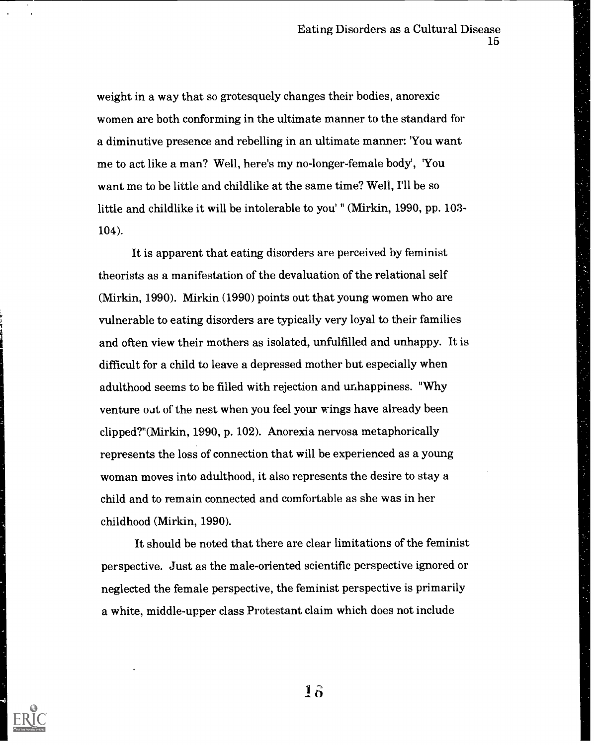weight in a way that so grotesquely changes their bodies, anorexic women are both conforming in the ultimate manner to the standard for a diminutive presence and rebelling in an ultimate manner: 'You want me to act like a man? Well, here's my no-longer-female body', 'You want me to be little and childlike at the same time? Well, I'll be so little and childlike it will be intolerable to you' " (Mirkin, 1990, pp. 103- 104).

It is apparent that eating disorders are perceived by feminist theorists as a manifestation of the devaluation of the relational self (Mirkin, 1990). Mirkin (1990) points out that young women who are vulnerable to eating disorders are typically very loyal to their families and often view their mothers as isolated, unfulfilled and unhappy. It is difficult for a child to leave a depressed mother but especially when adulthood seems to be filled with rejection and unhappiness. "Why venture out of the nest when you feel your wings have already been clipped?"(Mirkin, 1990, p. 102). Anorexia nervosa metaphorically represents the loss of connection that will be experienced as a young woman moves into adulthood, it also represents the desire to stay a child and to remain connected and comfortable as she was in her childhood (Mirkin, 1990).

It should be noted that there are clear limitations of the feminist perspective. Just as the male-oriented scientific perspective ignored or neglected the female perspective, the feminist perspective is primarily a white, middle-upper class Protestant claim which does not include



 $\mathbf{1}\mathbf{6}$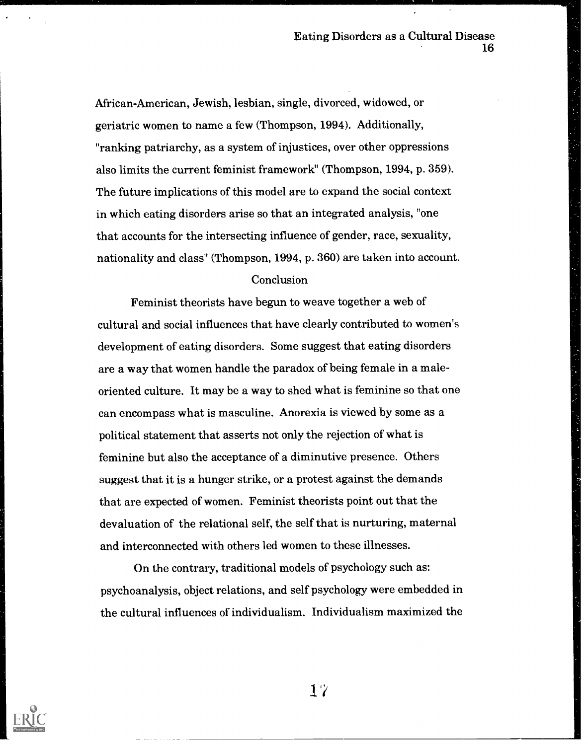African-American, Jewish, lesbian, single, divorced, widowed, or geriatric women to name a few (Thompson, 1994). Additionally, "ranking patriarchy, as a system of injustices, over other oppressions also limits the current feminist framework" (Thompson, 1994, p. 359). The future implications of this model are to expand the social context in which eating disorders arise so that an integrated analysis, "one that accounts for the intersecting influence of gender, race, sexuality, nationality and class" (Thompson, 1994, p. 360) are taken into account.

#### Conclusion

Feminist theorists have begun to weave together a web of cultural and social influences that have clearly contributed to women's development of eating disorders. Some suggest that eating disorders are a way that women handle the paradox of being female in a maleoriented culture. It may be a way to shed what is feminine so that one can encompass what is masculine. Anorexia is viewed by some as a political statement that asserts not only the rejection of what is feminine but also the acceptance of a diminutive presence. Others suggest that it is a hunger strike, or a protest against the demands that are expected of women. Feminist theorists point out that the devaluation of the relational self, the self that is nurturing, maternal and interconnected with others led women to these illnesses.

On the contrary, traditional models of psychology such as: psychoanalysis, object relations, and self psychology were embedded in the cultural influences of individualism. Individualism maximized the



1 'r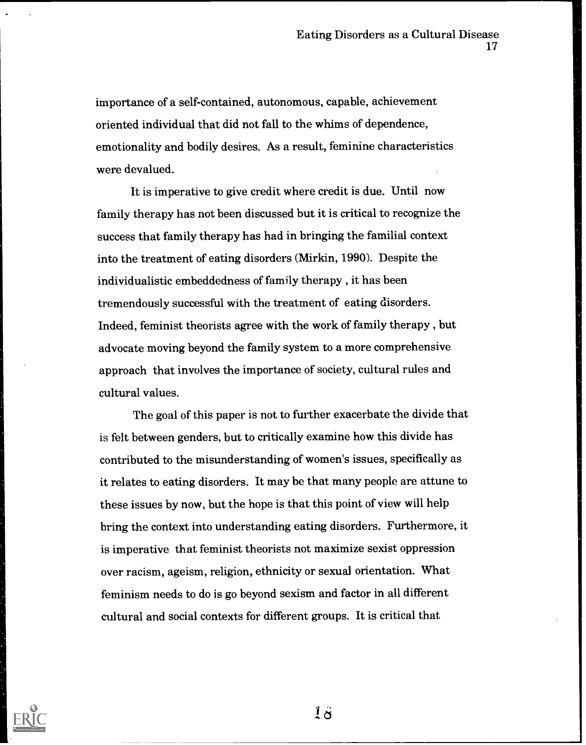importance of a self-contained, autonomous, capable, achievement oriented individual that did not fall to the whims of dependence, emotionality and bodily desires. As a result, feminine characteristics were devalued.

It is imperative to give credit where credit is due. Until now family therapy has not been discussed but it is critical to recognize the success that family therapy has had in bringing the familial context into the treatment of eating disorders (Mirkin, 1990). Despite the individualistic embeddedness of family therapy, , it has been tremendously successful with the treatment of eating disorders. Indeed, feminist theorists agree with the work of family therapy, , but advocate moving beyond the family system to a more comprehensive approach that involves the importance of society, cultural rules and cultural values.

The goal of this paper is not to further exacerbate the divide that is felt between genders, but to critically examine how this divide has contributed to the misunderstanding of women's issues, specifically as it relates to eating disorders. It may be that many people are attune to these issues by now, but the hope is that this point of view will help bring the context into understanding eating disorders. Furthermore, it is imperative that feminist theorists not maximize sexist oppression over racism, ageism, religion, ethnicity or sexual orientation. What feminism needs to do is go beyond sexism and factor in all different cultural and social contexts for different groups. It is critical that



 $1\ddot{\sigma}$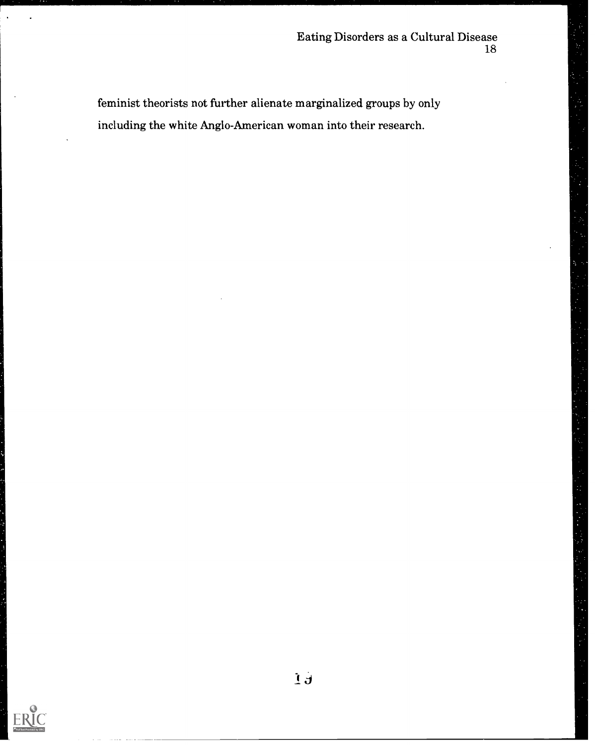feminist theorists not further alienate marginalized groups by only including the white Anglo-American woman into their research.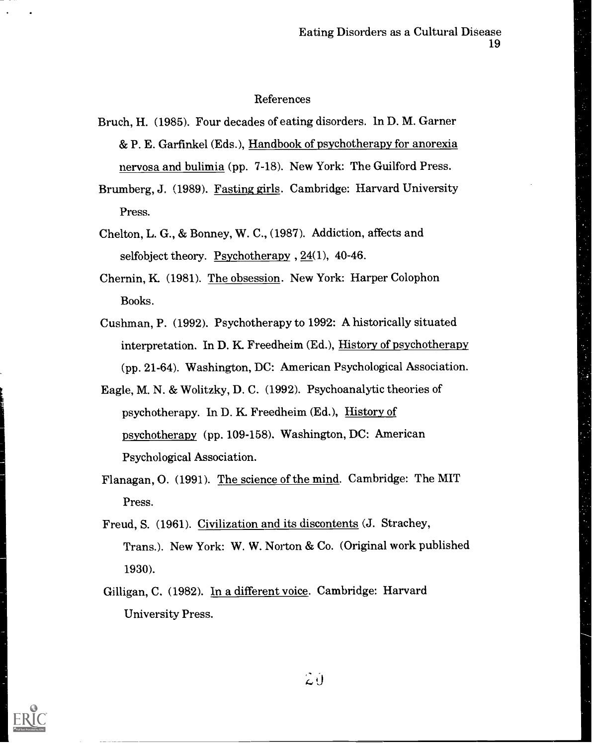#### References

- Bruch, H. (1985). Four decades of eating disorders. ln D. M. Garner & P. E. Garfinkel (Eds.), Handbook of psychotherapy for anorexia nervosa and bulimia (pp. 7-18). New York: The Guilford Press.
- Brumberg, J. (1989). Fasting girls. Cambridge: Harvard University Press.
- Chelton, L. G., & Bonney, W. C., (1987). Addiction, affects and selfobject theory. Psychotherapy , 24(1), 40-46.
- Chernin, K (1981). The obsession. New York: Harper Colophon Books.
- Cushman, P. (1992). Psychotherapy to 1992: A historically situated interpretation. In D. K. Freedheim (Ed.), History of psychotherapy (pp. 21-64). Washington, DC: American Psychological Association.
- Eagle, M. N. & Wolitzky, D. C. (1992). Psychoanalytic theories of psychotherapy. In D. K Freedheim (Ed.), History of psychotherapy (pp. 109-158). Washington, DC: American Psychological Association.
- Flanagan, O. (1991). The science of the mind. Cambridge: The MIT Press.
- Freud, S. (1961). Civilization and its discontents (J. Strachey, Trans.). New York: W. W. Norton & Co. (Original work published 1930).
- Gilligan, C. (1982). In a different voice. Cambridge: Harvard University Press.

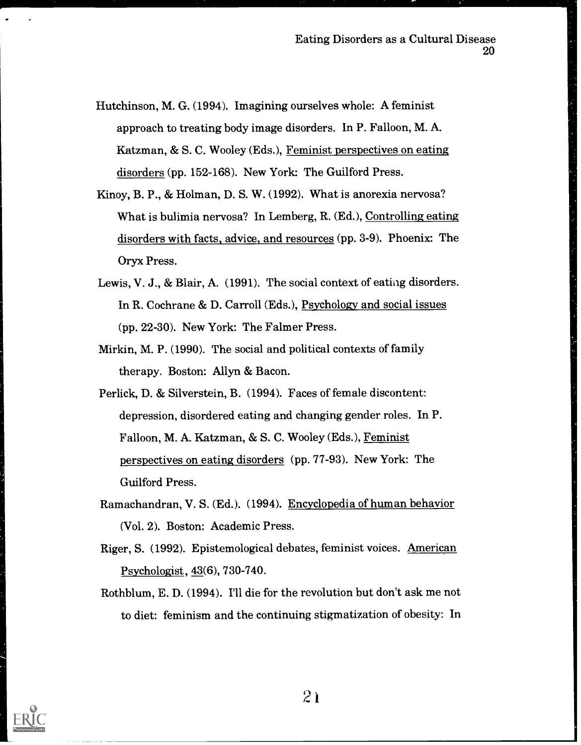- Hutchinson, M. G. (1994). Imagining ourselves whole: A feminist approach to treating body image disorders. In P. Falloon, M. A. Katzman, & S. C. Wooley (Eds.), Feminist perspectives on eating disorders (pp. 152-168). New York: The Guilford Press.
- Kinoy, B. P., & Holman, D. S. W. (1992). What is anorexia nervosa? What is bulimia nervosa? In Lemberg, R. (Ed.), Controlling eating disorders with facts, advice, and resources (pp. 3-9). Phoenix: The Oryx Press.
- Lewis, V. J., & Blair, A. (1991). The social context of eatiag disorders. In R. Cochrane & D. Carroll (Eds.), Psychology and social issues (pp. 22-30). New York: The Falmer Press.
- Mirkin, M. P. (1990). The social and political contexts of family therapy, Boston: Allyn & Bacon.
- Perlick, D. & Silverstein, B. (1994). Faces of female discontent: depression, disordered eating and changing gender roles. In P. Falloon, M. A. Katzman, & S. C. Wooley (Eds.), Feminist perspectives on eating disorders (pp. 77-93). New York: The Guilford Press.
- Ramachandran, V. S. (Ed.). (1994). Encyclopedia of human behavior (Vol. 2). Boston: Academic Press.
- Riger, S. (1992). Epistemological debates, feminist voices. American Psychologist, 43(6), 730-740.
- Rothblum, E. D. (1994). I'll die for the revolution but don't ask me not to diet: feminism and the continuing stigmatization of obesity: In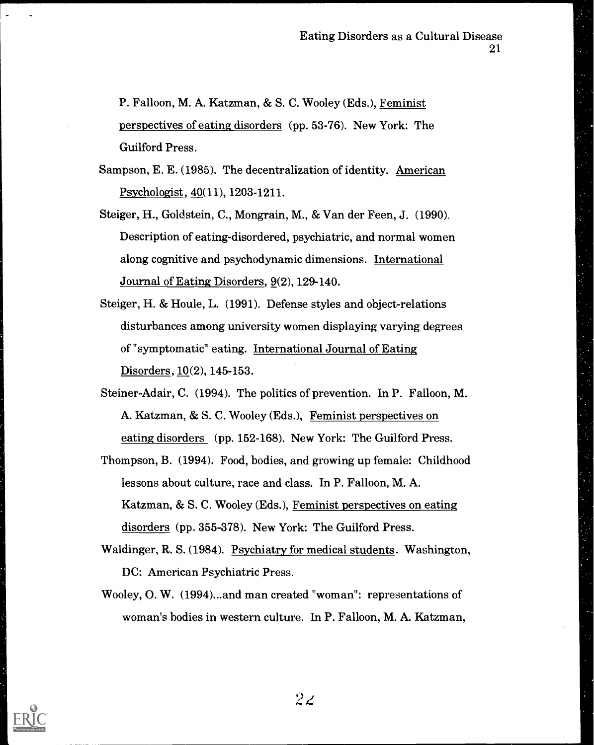P. Falloon, M. A. Katzman, & S. C. Wooley (Eds.), Feminist perspectives of eating disorders (pp. 53-76). New York: The Guilford Press.

- Sampson, E. E. (1985). The decentralization of identity. American Psychologist, 40(11), 1203-1211.
- Steiger, H., Goldstein, C., Mongrain, M., & Van der Feen, J. (1990). Description of eating-disordered, psychiatric, and normal women along cognitive and psychodynamic dimensions. International Journal of Eating Disorders, 9(2), 129-140.
- Steiger, H. & Houle, L. (1991). Defense styles and object-relations disturbances among university women displaying varying degrees of "symptomatic" eating. International Journal of Eating Disorders, 10(2), 145-153.
- Steiner-Adair, C. (1994). The politics of prevention. In P. Falloon, M. A. Katzman, & S. C. Wooley (Eds.), Feminist perspectives on eating disorders (pp. 152-168). New York: The Guilford Press.
- Thompson, B. (1994). Food, bodies, and growing up female: Childhood lessons about culture, race and class. In P. Falloon, M. A. Katzman, & S. C. Wooley (Eds.), Feminist perspectives on eating disorders (pp. 355-378). New York: The Guilford Press.
- Waldinger, R. S. (1984). Psychiatry for medical students. Washington, DC: American Psychiatric Press.
- Wooley, 0. W. (1994)...and man created "woman": representations of woman's bodies in western culture. In P. Falloon, M. A. Katzman,